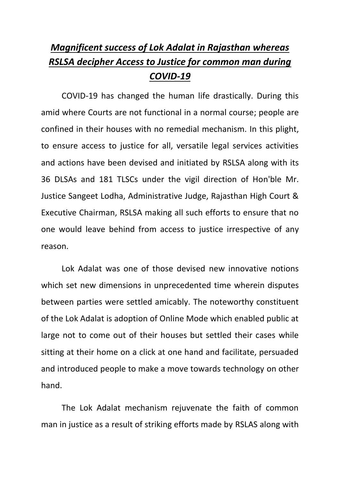## *Magnificent success of Lok Adalat in Rajasthan whereas RSLSA decipher Access to Justice for common man during COVID-19*

COVID-19 has changed the human life drastically. During this amid where Courts are not functional in a normal course; people are confined in their houses with no remedial mechanism. In this plight, to ensure access to justice for all, versatile legal services activities and actions have been devised and initiated by RSLSA along with its 36 DLSAs and 181 TLSCs under the vigil direction of Hon'ble Mr. Justice Sangeet Lodha, Administrative Judge, Rajasthan High Court & Executive Chairman, RSLSA making all such efforts to ensure that no one would leave behind from access to justice irrespective of any reason.

Lok Adalat was one of those devised new innovative notions which set new dimensions in unprecedented time wherein disputes between parties were settled amicably. The noteworthy constituent of the Lok Adalat is adoption of Online Mode which enabled public at large not to come out of their houses but settled their cases while sitting at their home on a click at one hand and facilitate, persuaded and introduced people to make a move towards technology on other hand.

The Lok Adalat mechanism rejuvenate the faith of common man in justice as a result of striking efforts made by RSLAS along with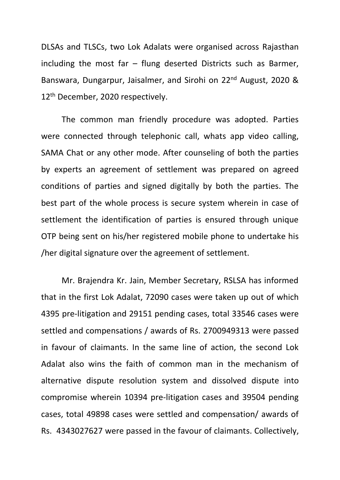DLSAs and TLSCs, two Lok Adalats were organised across Rajasthan including the most far  $-$  flung deserted Districts such as Barmer, Banswara, Dungarpur, Jaisalmer, and Sirohi on 22nd August, 2020 & 12<sup>th</sup> December, 2020 respectively.

The common man friendly procedure was adopted. Parties were connected through telephonic call, whats app video calling, SAMA Chat or any other mode. After counseling of both the parties by experts an agreement of settlement was prepared on agreed conditions of parties and signed digitally by both the parties. The best part of the whole process is secure system wherein in case of settlement the identification of parties is ensured through unique OTP being sent on his/her registered mobile phone to undertake his /her digital signature over the agreement of settlement.

Mr. Brajendra Kr. Jain, Member Secretary, RSLSA has informed that in the first Lok Adalat, 72090 cases were taken up out of which 4395 pre-litigation and 29151 pending cases, total 33546 cases were settled and compensations / awards of Rs. 2700949313 were passed in favour of claimants. In the same line of action, the second Lok Adalat also wins the faith of common man in the mechanism of alternative dispute resolution system and dissolved dispute into compromise wherein 10394 pre-litigation cases and 39504 pending cases, total 49898 cases were settled and compensation/ awards of Rs. 4343027627 were passed in the favour of claimants. Collectively,